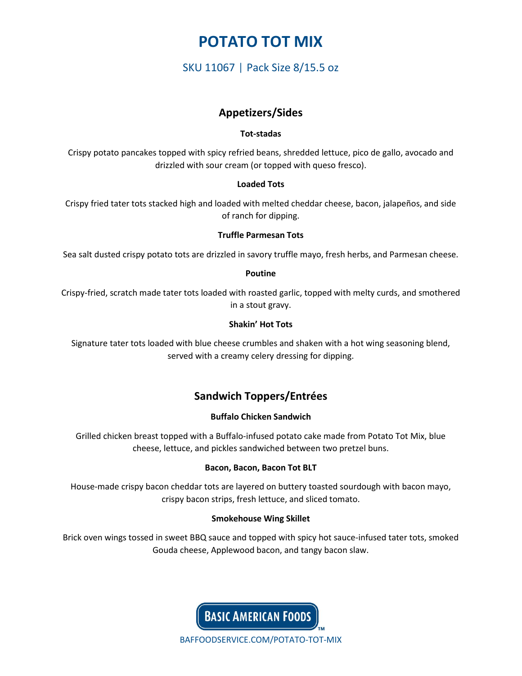# **POTATO TOT MIX**

## SKU 11067 | Pack Size 8/15.5 oz

### **Appetizers/Sides**

### **Tot-stadas**

Crispy potato pancakes topped with spicy refried beans, shredded lettuce, pico de gallo, avocado and drizzled with sour cream (or topped with queso fresco).

### **Loaded Tots**

Crispy fried tater tots stacked high and loaded with melted cheddar cheese, bacon, jalapeños, and side of ranch for dipping.

### **Truffle Parmesan Tots**

Sea salt dusted crispy potato tots are drizzled in savory truffle mayo, fresh herbs, and Parmesan cheese.

#### **Poutine**

Crispy-fried, scratch made tater tots loaded with roasted garlic, topped with melty curds, and smothered in a stout gravy.

### **Shakin' Hot Tots**

Signature tater tots loaded with blue cheese crumbles and shaken with a hot wing seasoning blend, served with a creamy celery dressing for dipping.

### **Sandwich Toppers/Entrées**

### **Buffalo Chicken Sandwich**

Grilled chicken breast topped with a Buffalo-infused potato cake made from Potato Tot Mix, blue cheese, lettuce, and pickles sandwiched between two pretzel buns.

### **Bacon, Bacon, Bacon Tot BLT**

House-made crispy bacon cheddar tots are layered on buttery toasted sourdough with bacon mayo, crispy bacon strips, fresh lettuce, and sliced tomato.

### **Smokehouse Wing Skillet**

Brick oven wings tossed in sweet BBQ sauce and topped with spicy hot sauce-infused tater tots, smoked Gouda cheese, Applewood bacon, and tangy bacon slaw.